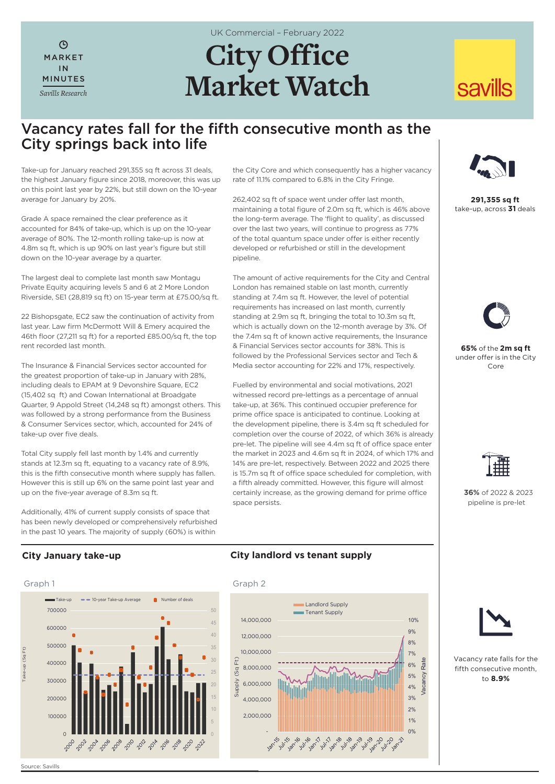$\odot$ MARKET IN MINUTES *Savills Research* UK Commercial – February 2022

# **City Office Market Watch**

## **savills**

### Vacancy rates fall for the fifth consecutive month as the City springs back into life

Take-up for January reached 291,355 sq ft across 31 deals, the highest January figure since 2018, moreover, this was up on this point last year by 22%, but still down on the 10-year average for January by 20%.

Grade A space remained the clear preference as it accounted for 84% of take-up, which is up on the 10-year average of 80%. The 12-month rolling take-up is now at 4.8m sq ft, which is up 90% on last year's figure but still down on the 10-year average by a quarter.

The largest deal to complete last month saw Montagu Private Equity acquiring levels 5 and 6 at 2 More London Riverside, SE1 (28,819 sq ft) on 15-year term at £75.00/sq ft.

22 Bishopsgate, EC2 saw the continuation of activity from last year. Law firm McDermott Will & Emery acquired the 46th floor (27,211 sq ft) for a reported £85.00/sq ft, the top rent recorded last month.

The Insurance & Financial Services sector accounted for the greatest proportion of take-up in January with 28%, including deals to EPAM at 9 Devonshire Square, EC2 (15,402 sq ft) and Cowan International at Broadgate Quarter, 9 Appold Street (14,248 sq ft) amongst others. This was followed by a strong performance from the Business & Consumer Services sector, which, accounted for 24% of take-up over five deals.

Total City supply fell last month by 1.4% and currently stands at 12.3m sq ft, equating to a vacancy rate of 8.9%, this is the fifth consecutive month where supply has fallen. However this is still up 6% on the same point last year and up on the five-year average of 8.3m sq ft.

Additionally, 41% of current supply consists of space that has been newly developed or comprehensively refurbished in the past 10 years. The majority of supply (60%) is within

the City Core and which consequently has a higher vacancy rate of 11.1% compared to 6.8% in the City Fringe.

262,402 sq ft of space went under offer last month, maintaining a total figure of 2.0m sq ft, which is 46% above the long-term average. The 'flight to quality', as discussed over the last two years, will continue to progress as 77% of the total quantum space under offer is either recently developed or refurbished or still in the development pipeline.

The amount of active requirements for the City and Central London has remained stable on last month, currently standing at 7.4m sq ft. However, the level of potential requirements has increased on last month, currently standing at 2.9m sq ft, bringing the total to 10.3m sq ft. which is actually down on the 12-month average by 3%. Of the 7.4m sq ft of known active requirements, the Insurance & Financial Services sector accounts for 38%. This is followed by the Professional Services sector and Tech & Media sector accounting for 22% and 17%, respectively.

Fuelled by environmental and social motivations, 2021 witnessed record pre-lettings as a percentage of annual take-up, at 36%. This continued occupier preference for prime office space is anticipated to continue. Looking at the development pipeline, there is 3.4m sq ft scheduled for completion over the course of 2022, of which 36% is already pre-let. The pipeline will see 4.4m sq ft of office space enter the market in 2023 and 4.6m sq ft in 2024, of which 17% and 14% are pre-let, respectively. Between 2022 and 2025 there is 15.7m sq ft of office space scheduled for completion, with a fifth already committed. However, this figure will almost certainly increase, as the growing demand for prime office space persists.



**291,355 sq ft** take-up, across **31** deals



**65%** of the **2m sq ft** under offer is in the City Core



 **36%** of 2022 & 2023 pipeline is pre-let

### **City January take-up**



#### **City landlord vs tenant supply**





Vacancy rate falls for the fifth consecutive month, to **8.9%**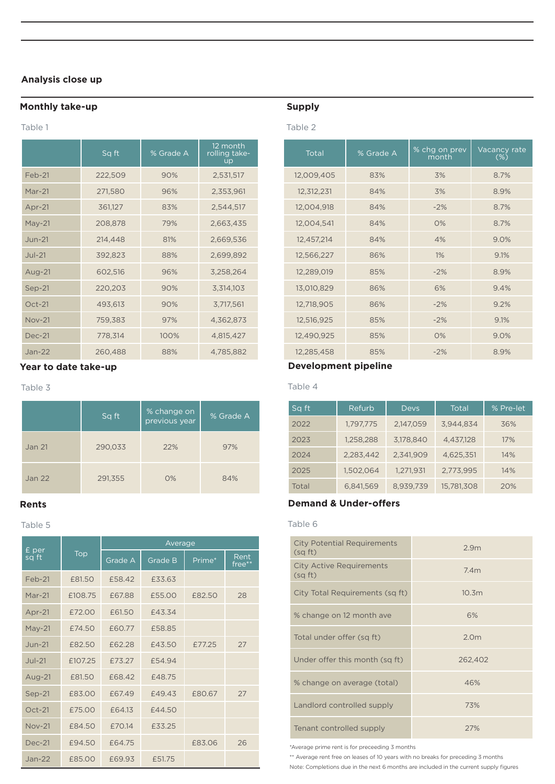#### **Analysis close up**

#### **Monthly take-up**

#### Table 1

|               | Sq ft   | % Grade A | 12 month<br>rolling take-<br><b>up</b> | Total      | % Grade A | % chg on prev<br>month | Vacancy<br>$(\%)$ |
|---------------|---------|-----------|----------------------------------------|------------|-----------|------------------------|-------------------|
| Feb-21        | 222,509 | 90%       | 2,531,517                              | 12,009,405 | 83%       | 3%                     | 8.7%              |
| $Mar-21$      | 271,580 | 96%       | 2,353,961                              | 12,312,231 | 84%       | 3%                     | 8.9%              |
| Apr-21        | 361,127 | 83%       | 2,544,517                              | 12,004,918 | 84%       | $-2%$                  | 8.7%              |
| $May-21$      | 208,878 | 79%       | 2,663,435                              | 12,004,541 | 84%       | O%                     | 8.7%              |
| $Jun-21$      | 214,448 | 81%       | 2,669,536                              | 12,457,214 | 84%       | 4%                     | 9.0%              |
| $Jul-21$      | 392,823 | 88%       | 2,699,892                              | 12,566,227 | 86%       | $1\%$                  | 9.1%              |
| Aug-21        | 602,516 | 96%       | 3,258,264                              | 12,289,019 | 85%       | $-2%$                  | 8.9%              |
| $Sep-21$      | 220,203 | 90%       | 3,314,103                              | 13,010,829 | 86%       | 6%                     | 9.4%              |
| $Oct-21$      | 493,613 | 90%       | 3,717,561                              | 12,718,905 | 86%       | $-2%$                  | 9.2%              |
| <b>Nov-21</b> | 759,383 | 97%       | 4,362,873                              | 12,516,925 | 85%       | $-2%$                  | 9.1%              |
| <b>Dec-21</b> | 778,314 | 100%      | 4,815,427                              | 12,490,925 | 85%       | 0%                     | 9.0%              |
| $Jan-22$      | 260,488 | 88%       | 4,785,882                              | 12,285,458 | 85%       | $-2%$                  | 8.9%              |

#### **Year to date take-up**

#### Table 3

|               | Sq ft   | % change on<br>previous year | % Grade A |  |
|---------------|---------|------------------------------|-----------|--|
| Jan 21        | 290,033 | 22%                          | 97%       |  |
| <b>Jan 22</b> | 291,355 | O%                           | 84%       |  |

#### **Rents**

#### Table 5

|                |         | Average |                |        |                |  |  |  |
|----------------|---------|---------|----------------|--------|----------------|--|--|--|
| £ per<br>sq ft | Top     | Grade A | <b>Grade B</b> | Prime* | Rent<br>free** |  |  |  |
| Feb-21         | £81.50  | £58.42  | £33.63         |        |                |  |  |  |
| $Mar-21$       | £108.75 | £67.88  | £55.00         | £82.50 | 28             |  |  |  |
| $Apr-21$       | £72.00  | £61.50  | £43.34         |        |                |  |  |  |
| May-21         | £74.50  | £60.77  | £58.85         |        |                |  |  |  |
| $Jun-21$       | £82.50  | £62.28  | £43.50         | £77.25 | 27             |  |  |  |
| $Jul-21$       | £107.25 | £73.27  | £54.94         |        |                |  |  |  |
| Aug- $21$      | £81.50  | £68.42  | £48.75         |        |                |  |  |  |
| Sep-21         | £83.00  | £67.49  | £49.43         | £80.67 | 27             |  |  |  |
| $Oct-21$       | £75.00  | £64.13  | £44.50         |        |                |  |  |  |
| <b>Nov-21</b>  | £84.50  | £70.14  | £33.25         |        |                |  |  |  |
| $Dec-21$       | £94.50  | £64.75  |                | £83.06 | 26             |  |  |  |
| $Jan-22$       | £85.00  | £69.93  | £51.75         |        |                |  |  |  |

#### **Supply**

#### Table 2

|               | Sq ft   | % Grade A | 12 month<br>rolling take-<br><b>up</b> | Total      | % Grade A | % chg on prev<br>month | Vacancy rate<br>$(\%)$ |
|---------------|---------|-----------|----------------------------------------|------------|-----------|------------------------|------------------------|
| Feb-21        | 222,509 | 90%       | 2,531,517                              | 12,009,405 | 83%       | 3%                     | 8.7%                   |
| Mar-21        | 271,580 | 96%       | 2,353,961                              | 12,312,231 | 84%       | 3%                     | 8.9%                   |
| Apr-21        | 361,127 | 83%       | 2,544,517                              | 12,004,918 | 84%       | $-2%$                  | 8.7%                   |
| May-21        | 208,878 | 79%       | 2,663,435                              | 12,004,541 | 84%       | 0%                     | 8.7%                   |
| Jun-21        | 214,448 | 81%       | 2,669,536                              | 12,457,214 | 84%       | 4%                     | 9.0%                   |
| <b>Jul-21</b> | 392,823 | 88%       | 2,699,892                              | 12,566,227 | 86%       | 1%                     | 9.1%                   |
| Aug-21        | 602,516 | 96%       | 3,258,264                              | 12,289,019 | 85%       | $-2%$                  | 8.9%                   |
| $Sep-21$      | 220,203 | 90%       | 3,314,103                              | 13,010,829 | 86%       | 6%                     | 9.4%                   |
| $Oct-21$      | 493,613 | 90%       | 3,717,561                              | 12,718,905 | 86%       | $-2%$                  | 9.2%                   |
| <b>Nov-21</b> | 759,383 | 97%       | 4,362,873                              | 12,516,925 | 85%       | $-2%$                  | 9.1%                   |
| <b>Dec-21</b> | 778,314 | 100%      | 4,815,427                              | 12,490,925 | 85%       | O%                     | 9.0%                   |
| Jan-22        | 260,488 | 88%       | 4,785,882                              | 12,285,458 | 85%       | $-2%$                  | 8.9%                   |

#### **Development pipeline**

Table 4

| Sq ft | Refurb    | <b>Devs</b> | <b>Total</b> | % Pre-let |
|-------|-----------|-------------|--------------|-----------|
| 2022  | 1,797,775 | 2,147,059   | 3,944,834    | 36%       |
| 2023  | 1,258,288 | 3,178,840   | 4,437,128    | 17%       |
| 2024  | 2,283,442 | 2,341,909   | 4,625,351    | 14%       |
| 2025  | 1,502,064 | 1,271,931   | 2,773,995    | 14%       |
| Total | 6,841,569 | 8.939.739   | 15.781.308   | 20%       |

#### **Demand & Under-offers**

#### Table 6

| <b>City Potential Requirements</b><br>(sqft) | 2.9 <sub>m</sub>  |
|----------------------------------------------|-------------------|
| <b>City Active Requirements</b><br>(sqft)    | 7.4m              |
| City Total Requirements (sq ft)              | 10.3 <sub>m</sub> |
| % change on 12 month ave                     | 6%                |
| Total under offer (sq ft)                    | 2.0 <sub>m</sub>  |
| Under offer this month (sq ft)               | 262,402           |
| % change on average (total)                  | 46%               |
| Landlord controlled supply                   | 73%               |
| Tenant controlled supply                     | 27%               |

\*Average prime rent is for preceeding 3 months

\*\* Average rent free on leases of 10 years with no breaks for preceding 3 months

Note: Completions due in the next 6 months are included in the current supply figures